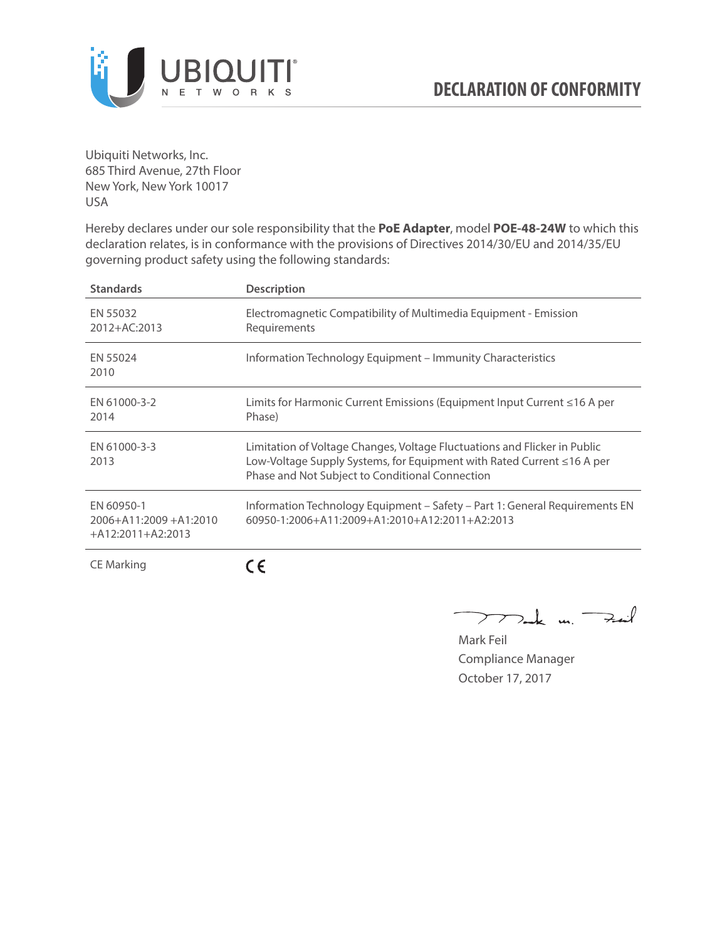

Ubiquiti Networks, Inc. 685 Third Avenue, 27th Floor New York, New York 10017 USA

Hereby declares under our sole responsibility that the **PoE Adapter**, model **POE-48-24W** to which this declaration relates, is in conformance with the provisions of Directives 2014/30/EU and 2014/35/EU governing product safety using the following standards:

| <b>Standards</b>                                           | <b>Description</b>                                                                                                                                                                                     |
|------------------------------------------------------------|--------------------------------------------------------------------------------------------------------------------------------------------------------------------------------------------------------|
| EN 55032<br>2012+AC:2013                                   | Electromagnetic Compatibility of Multimedia Equipment - Emission<br>Requirements                                                                                                                       |
| EN 55024<br>2010                                           | Information Technology Equipment – Immunity Characteristics                                                                                                                                            |
| EN 61000-3-2<br>2014                                       | Limits for Harmonic Current Emissions (Equipment Input Current ≤16 A per<br>Phase)                                                                                                                     |
| EN 61000-3-3<br>2013                                       | Limitation of Voltage Changes, Voltage Fluctuations and Flicker in Public<br>Low-Voltage Supply Systems, for Equipment with Rated Current ≤16 A per<br>Phase and Not Subject to Conditional Connection |
| EN 60950-1<br>2006+A11:2009+A1:2010<br>$+A12:2011+A2:2013$ | Information Technology Equipment – Safety – Part 1: General Requirements EN<br>$60950 - 1:2006 + A11:2009 + A1:2010 + A12:2011 + A2:2013$                                                              |
| CE Marking                                                 |                                                                                                                                                                                                        |

Dark m. Fail  $\rightarrow$ 

Mark Feil Compliance Manager October 17, 2017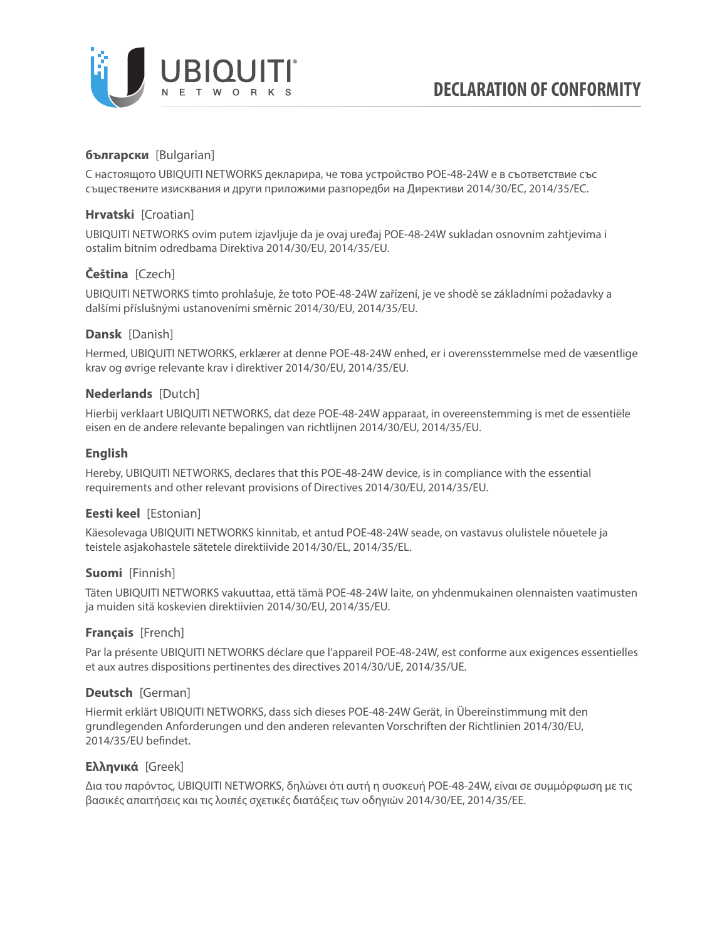

# **български** [Bulgarian]

С настоящото UBIQUITI NETWORKS декларира, че това устройство POE-48-24W е в съответствие със съществените изисквания и други приложими разпоредби на Директиви 2014/30/ЕС, 2014/35/ЕС.

## **Hrvatski** [Croatian]

UBIQUITI NETWORKS ovim putem izjavljuje da je ovaj uređaj POE-48-24W sukladan osnovnim zahtjevima i ostalim bitnim odredbama Direktiva 2014/30/EU, 2014/35/EU.

# **Čeština** [Czech]

UBIQUITI NETWORKS tímto prohlašuje, že toto POE-48-24W zařízení, je ve shodě se základními požadavky a dalšími příslušnými ustanoveními směrnic 2014/30/EU, 2014/35/EU.

## **Dansk** [Danish]

Hermed, UBIQUITI NETWORKS, erklærer at denne POE-48-24W enhed, er i overensstemmelse med de væsentlige krav og øvrige relevante krav i direktiver 2014/30/EU, 2014/35/EU.

## **Nederlands** [Dutch]

Hierbij verklaart UBIQUITI NETWORKS, dat deze POE-48-24W apparaat, in overeenstemming is met de essentiële eisen en de andere relevante bepalingen van richtlijnen 2014/30/EU, 2014/35/EU.

## **English**

Hereby, UBIQUITI NETWORKS, declares that this POE-48-24W device, is in compliance with the essential requirements and other relevant provisions of Directives 2014/30/EU, 2014/35/EU.

## **Eesti keel** [Estonian]

Käesolevaga UBIQUITI NETWORKS kinnitab, et antud POE-48-24W seade, on vastavus olulistele nõuetele ja teistele asjakohastele sätetele direktiivide 2014/30/EL, 2014/35/EL.

### **Suomi** [Finnish]

Täten UBIQUITI NETWORKS vakuuttaa, että tämä POE-48-24W laite, on yhdenmukainen olennaisten vaatimusten ja muiden sitä koskevien direktiivien 2014/30/EU, 2014/35/EU.

### **Français** [French]

Par la présente UBIQUITI NETWORKS déclare que l'appareil POE-48-24W, est conforme aux exigences essentielles et aux autres dispositions pertinentes des directives 2014/30/UE, 2014/35/UE.

### **Deutsch** [German]

Hiermit erklärt UBIQUITI NETWORKS, dass sich dieses POE-48-24W Gerät, in Übereinstimmung mit den grundlegenden Anforderungen und den anderen relevanten Vorschriften der Richtlinien 2014/30/EU, 2014/35/EU befindet.

### **Ελληνικά** [Greek]

Δια του παρόντος, UBIQUITI NETWORKS, δηλώνει ότι αυτή η συσκευή POE-48-24W, είναι σε συμμόρφωση με τις βασικές απαιτήσεις και τις λοιπές σχετικές διατάξεις των οδηγιών 2014/30/EE, 2014/35/EE.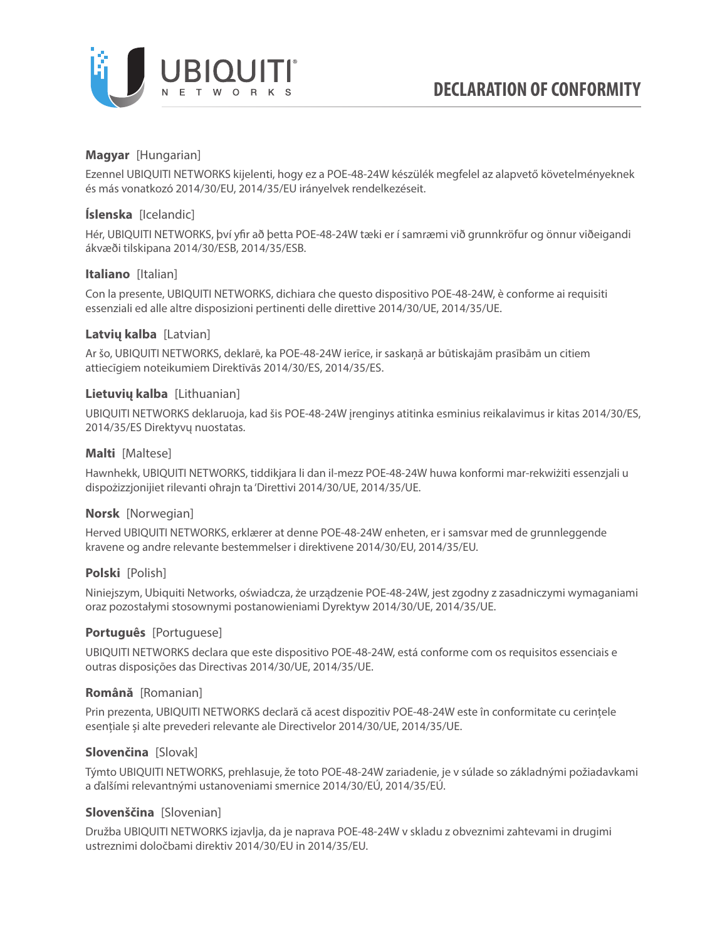

## **Magyar** [Hungarian]

Ezennel UBIQUITI NETWORKS kijelenti, hogy ez a POE-48-24W készülék megfelel az alapvető követelményeknek és más vonatkozó 2014/30/EU, 2014/35/EU irányelvek rendelkezéseit.

## **Íslenska** [Icelandic]

Hér, UBIQUITI NETWORKS, því yfir að þetta POE-48-24W tæki er í samræmi við grunnkröfur og önnur viðeigandi ákvæði tilskipana 2014/30/ESB, 2014/35/ESB.

## **Italiano** [Italian]

Con la presente, UBIQUITI NETWORKS, dichiara che questo dispositivo POE-48-24W, è conforme ai requisiti essenziali ed alle altre disposizioni pertinenti delle direttive 2014/30/UE, 2014/35/UE.

## **Latvių kalba** [Latvian]

Ar šo, UBIQUITI NETWORKS, deklarē, ka POE-48-24W ierīce, ir saskaņā ar būtiskajām prasībām un citiem attiecīgiem noteikumiem Direktīvās 2014/30/ES, 2014/35/ES.

## **Lietuvių kalba** [Lithuanian]

UBIQUITI NETWORKS deklaruoja, kad šis POE-48-24W įrenginys atitinka esminius reikalavimus ir kitas 2014/30/ES, 2014/35/ES Direktyvų nuostatas.

## **Malti** [Maltese]

Hawnhekk, UBIQUITI NETWORKS, tiddikjara li dan il-mezz POE-48-24W huwa konformi mar-rekwiżiti essenzjali u dispożizzjonijiet rilevanti oħrajn ta 'Direttivi 2014/30/UE, 2014/35/UE.

### **Norsk** [Norwegian]

Herved UBIQUITI NETWORKS, erklærer at denne POE-48-24W enheten, er i samsvar med de grunnleggende kravene og andre relevante bestemmelser i direktivene 2014/30/EU, 2014/35/EU.

### **Polski** [Polish]

Niniejszym, Ubiquiti Networks, oświadcza, że urządzenie POE-48-24W, jest zgodny z zasadniczymi wymaganiami oraz pozostałymi stosownymi postanowieniami Dyrektyw 2014/30/UE, 2014/35/UE.

### **Português** [Portuguese]

UBIQUITI NETWORKS declara que este dispositivo POE-48-24W, está conforme com os requisitos essenciais e outras disposições das Directivas 2014/30/UE, 2014/35/UE.

### **Română** [Romanian]

Prin prezenta, UBIQUITI NETWORKS declară că acest dispozitiv POE-48-24W este în conformitate cu cerințele esențiale și alte prevederi relevante ale Directivelor 2014/30/UE, 2014/35/UE.

### **Slovenčina** [Slovak]

Týmto UBIQUITI NETWORKS, prehlasuje, že toto POE-48-24W zariadenie, je v súlade so základnými požiadavkami a ďalšími relevantnými ustanoveniami smernice 2014/30/EÚ, 2014/35/EÚ.

### **Slovenščina** [Slovenian]

Družba UBIQUITI NETWORKS izjavlja, da je naprava POE-48-24W v skladu z obveznimi zahtevami in drugimi ustreznimi določbami direktiv 2014/30/EU in 2014/35/EU.